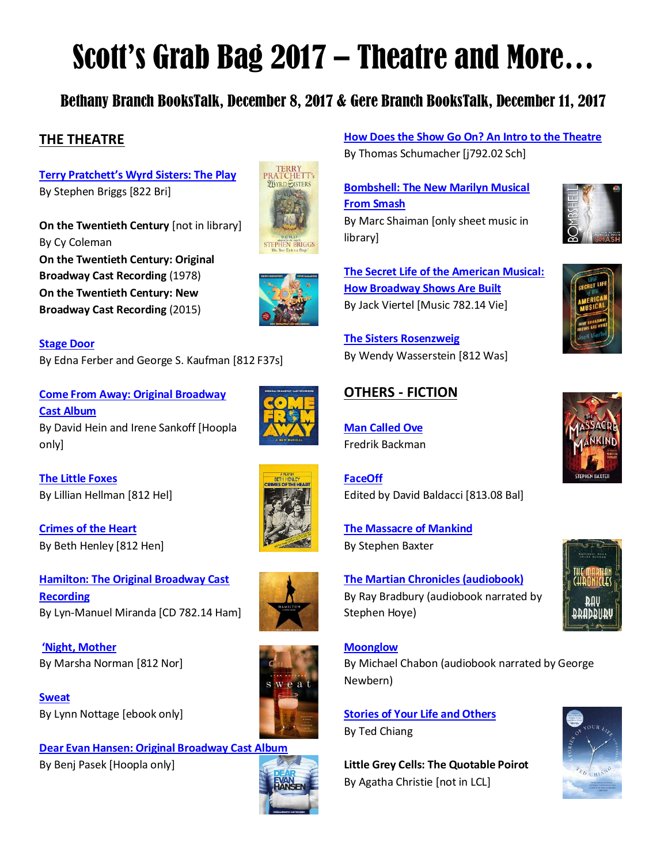# Scott's Grab Bag 2017 – Theatre and More…

# Bethany Branch BooksTalk, December 8, 2017 & Gere Branch BooksTalk, December 11, 2017

## **THE THEATRE**

**[Terry Pratchett's Wyrd Sisters: The Play](https://lcl.ent.sirsi.net/client/en_US/default/search/results?qu=wyrd+sisters+briggs&te=)** By Stephen Briggs [822 Bri]



**On the Twentieth Century** [not in library] By Cy Coleman **On the Twentieth Century: Original Broadway Cast Recording** (1978) **On the Twentieth Century: New Broadway Cast Recording** (2015)



**[Stage Door](https://lcl.ent.sirsi.net/client/en_US/default/search/results?qu=stage+door+ferber+kaufman&te=)** By Edna Ferber and George S. Kaufman [812 F37s]

**[Come From Away: Original Broadway](https://lcl.ent.sirsi.net/client/en_US/default/search/results?qu=come+from+away&te=)  [Cast Album](https://lcl.ent.sirsi.net/client/en_US/default/search/results?qu=come+from+away&te=)** By David Hein and Irene Sankoff [Hoopla only]

**[The Little Foxes](https://lcl.ent.sirsi.net/client/en_US/default/search/results?qu=little+foxes+hellman&te=)** By Lillian Hellman [812 Hel]

**[Crimes of the Heart](https://lcl.ent.sirsi.net/client/en_US/default/search/results?qu=crimes+heart+henley&te=)** By Beth Henley [812 Hen]

**[Hamilton: The Original Broadway Cast](https://lcl.ent.sirsi.net/client/en_US/default/search/results?qu=hamilton+recording+miranda&te=)  [Recording](https://lcl.ent.sirsi.net/client/en_US/default/search/results?qu=hamilton+recording+miranda&te=)** By Lyn-Manuel Miranda [CD 782.14 Ham]

**['Night, Mother](https://lcl.ent.sirsi.net/client/en_US/default/search/results?qu=night+mother+norman&te=)** By Marsha Norman [812 Nor]

**[Sweat](https://lcl.ent.sirsi.net/client/en_US/default/search/results?qu=sweat+lynn+nottage&te=)** By Lynn Nottage [ebook only]

**[Dear Evan Hansen: Original Broadway Cast Album](https://lcl.ent.sirsi.net/client/en_US/default/search/results?qu=dear+evan+hansen&te=)** By Benj Pasek [Hoopla only]

## **[How Does the Show Go On? An Intro to the Theatre](https://lcl.ent.sirsi.net/client/en_US/default/search/results?qu=how+does+show+go+on+schumacher&te=)**

By Thomas Schumacher [j792.02 Sch]

**[Bombshell: The New Marilyn Musical](https://lcl.ent.sirsi.net/client/en_US/default/search/results?qu=bombshell+shaiman&te=)  [From Smash](https://lcl.ent.sirsi.net/client/en_US/default/search/results?qu=bombshell+shaiman&te=)**

By Marc Shaiman [only sheet music in library]

**[The Secret Life of the American Musical:](https://lcl.ent.sirsi.net/client/en_US/default/search/results?qu=secret+life+american+musical+viertel&te=)  [How Broadway Shows Are Built](https://lcl.ent.sirsi.net/client/en_US/default/search/results?qu=secret+life+american+musical+viertel&te=)** By Jack Viertel [Music 782.14 Vie]

**[The Sisters Rosenzweig](https://lcl.ent.sirsi.net/client/en_US/default/search/results?qu=sisters+rosenweig+wasserstein&te=)** By Wendy Wasserstein [812 Was]

## **OTHERS - FICTION**



**[FaceOff](https://lcl.ent.sirsi.net/client/en_US/default/search/results?qu=faceoff+baldacci&te=)** Edited by David Baldacci [813.08 Bal]

**[The Massacre of Mankind](https://lcl.ent.sirsi.net/client/en_US/default/search/results?qu=massacre+mankind+baxter&te=)** By Stephen Baxter



**[The Martian Chronicles \(audiobook\)](https://lcl.ent.sirsi.net/client/en_US/default/search/results?qu=martian+chronicles+hoye&te=)** By Ray Bradbury (audiobook narrated by Stephen Hoye)





**[Moonglow](https://lcl.ent.sirsi.net/client/en_US/default/search/results?qu=moonglow+newbern&te=)**

By Michael Chabon (audiobook narrated by George Newbern)

**[Stories of Your Life and Others](https://lcl.ent.sirsi.net/client/en_US/default/search/results?qu=stories+your+life+others+chiang&te=)** By Ted Chiang

**Little Grey Cells: The Quotable Poirot** By Agatha Christie [not in LCL]









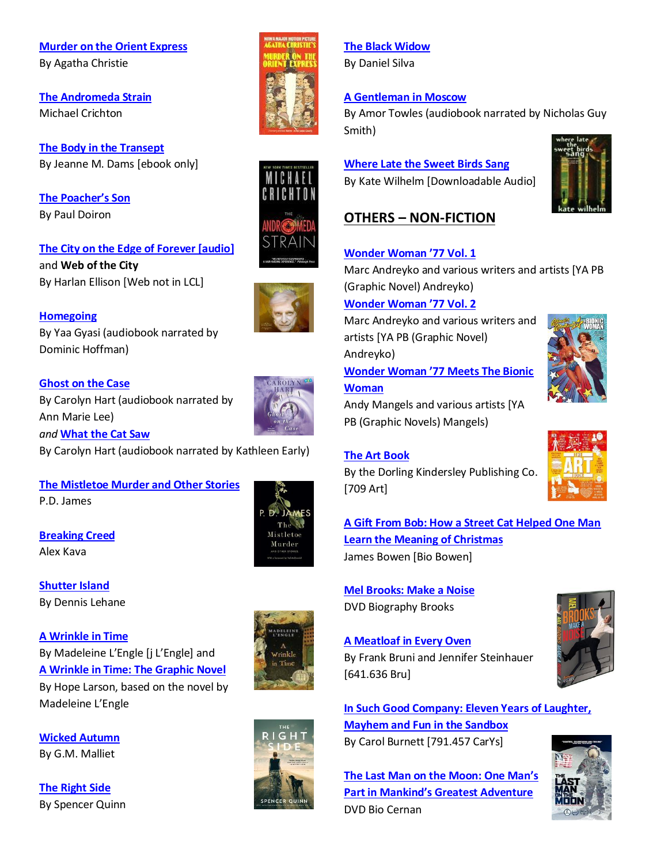#### **[Murder on the Orient Express](https://lcl.ent.sirsi.net/client/en_US/default/search/results?qu=murder+orient+express+christie&te=)** By Agatha Christie

**[The Andromeda Strain](https://lcl.ent.sirsi.net/client/en_US/default/search/results?qu=andromeda+strain+crichton&te=)** Michael Crichton

**[The Body in the Transept](https://lcl.ent.sirsi.net/client/en_US/default/search/results?qu=body+transept+dams&te=)** By Jeanne M. Dams [ebook only]

**<a href='https://lcl.ent.sirsi.net/client/en\_US/default/search/results?qu=poacher's+son+doiron&te='>The Poacher's Son** By Paul Doiron

## **[The City on the Edge of Forever \[audio\]](https://lcl.ent.sirsi.net/client/en_US/default/search/results?qu=city+edge+forever+ellison&te=)**

and **Web of the City** By Harlan Ellison [Web not in LCL]

#### **[Homegoing](https://lcl.ent.sirsi.net/client/en_US/default/search/results?qu=homegoing+gyasi+hoffman&te=)**

By Yaa Gyasi (audiobook narrated by Dominic Hoffman)

#### **[Ghost on the Case](https://lcl.ent.sirsi.net/client/en_US/default/search/results?qu=ghost+on+the+case+hart+lee&te=)**

By Carolyn Hart (audiobook narrated by Ann Marie Lee) *and* **[What the Cat Saw](https://lcl.ent.sirsi.net/client/en_US/default/search/results?qu=what+cat+saw+hart+early&te=)** By Carolyn Hart (audiobook narrated by Kathleen Early)

# **[The Mistletoe Murder and Other Stories](https://lcl.ent.sirsi.net/client/en_US/default/search/results?qu=mistletoe+murder+other+james&te=)**

P.D. James

**[Breaking Creed](https://lcl.ent.sirsi.net/client/en_US/default/search/results?qu=breaking+creed+kava&te=)** Alex Kava

**[Shutter Island](https://lcl.ent.sirsi.net/client/en_US/default/search/results?qu=shutter+island+lehane&te=)** By Dennis Lehane

**<a href='https://lcl.ent.sirsi.net/client/en\_US/default/search/results?qu=wrinkle+time+l'engle&te='>A Wrinkle in Time** By Madeleine L'Engle [j L'Engle] and **[A Wrinkle in Time: The Graphic Novel](https://lcl.ent.sirsi.net/client/en_US/default/search/results?qu=wrinkle+time+graphic+novel+larson&te=)** By Hope Larson, based on the novel by Madeleine L'Engle

**[Wicked Autumn](https://lcl.ent.sirsi.net/client/en_US/default/search/results?qu=wicked+autumn+malliet&te=)** By G.M. Malliet

**[The Right Side](https://lcl.ent.sirsi.net/client/en_US/default/search/results?qu=right+side+quinn&te=)** By Spencer Quinn



# **[The Black Widow](https://lcl.ent.sirsi.net/client/en_US/default/search/results?qu=black+widow+silva&te=)**

By Daniel Silva

## **[A Gentleman in Moscow](https://lcl.ent.sirsi.net/client/en_US/default/search/results?qu=gentleman+moscow+towles+smith&te=)**

By Amor Towles (audiobook narrated by Nicholas Guy Smith)

## **[Where Late the Sweet Birds Sang](https://lcl.ent.sirsi.net/client/en_US/default/search/results?qu=where+late+sweet+birds+sang+wilhelm&te=)**

By Kate Wilhelm [Downloadable Audio]

# **OTHERS – NON-FICTION**

## **[Wonder Woman '77 Vol. 1](https://lcl.ent.sirsi.net/client/en_US/default/search/results?qu=wonder+woman+77+andreyko&te=)**

Marc Andreyko and various writers and artists [YA PB (Graphic Novel) Andreyko)

**[Wonder Woman '77 Vol. 2](https://lcl.ent.sirsi.net/client/en_US/default/search/results?qu=wonder+woman+77+andreyko&te=)**

Marc Andreyko and various writers and artists [YA PB (Graphic Novel) Andreyko)

#### **[Wonder Woman '77 Meets The Bionic](https://lcl.ent.sirsi.net/client/en_US/default/search/results?qu=bionic+wonder+woman+77+mangels&te=)  [Woman](https://lcl.ent.sirsi.net/client/en_US/default/search/results?qu=bionic+wonder+woman+77+mangels&te=)**



Andy Mangels and various artists [YA PB (Graphic Novels) Mangels)

## **[The Art Book](https://lcl.ent.sirsi.net/client/en_US/default/search/results?qu=art+book+dorling+kindersley&te=)**





[709 Art]

**[A Gift From Bob: How a Street Cat Helped One Man](https://lcl.ent.sirsi.net/client/en_US/default/search/results?qu=gift+from+bob+bowen&te=)  Learn the [Meaning of Christmas](https://lcl.ent.sirsi.net/client/en_US/default/search/results?qu=gift+from+bob+bowen&te=)** James Bowen [Bio Bowen]

**[Mel Brooks: Make a Noise](https://lcl.ent.sirsi.net/client/en_US/default/search/results?qu=mel+brooks+make+noise&te=)** DVD Biography Brooks



**[A Meatloaf in Every Oven](https://lcl.ent.sirsi.net/client/en_US/default/search/results?qu=meatloaf+every+oven+bruni&te=)** By Frank Bruni and Jennifer Steinhauer [641.636 Bru]

**[In Such Good Company: Eleven Years of Laughter,](https://lcl.ent.sirsi.net/client/en_US/default/search/results?qu=in+such+good+company+burnett&te=)  [Mayhem and Fun in the Sandbox](https://lcl.ent.sirsi.net/client/en_US/default/search/results?qu=in+such+good+company+burnett&te=)** By Carol Burnett [791.457 CarYs]

**[The Last Man on the Moon: One Man's](https://lcl.ent.sirsi.net/client/en_US/default/search/results?qu=last+man+moon+greatest+adventure&te=)  [Part in Mankind's Greatest Adventure](https://lcl.ent.sirsi.net/client/en_US/default/search/results?qu=last+man+moon+greatest+adventure&te=)** DVD Bio Cernan





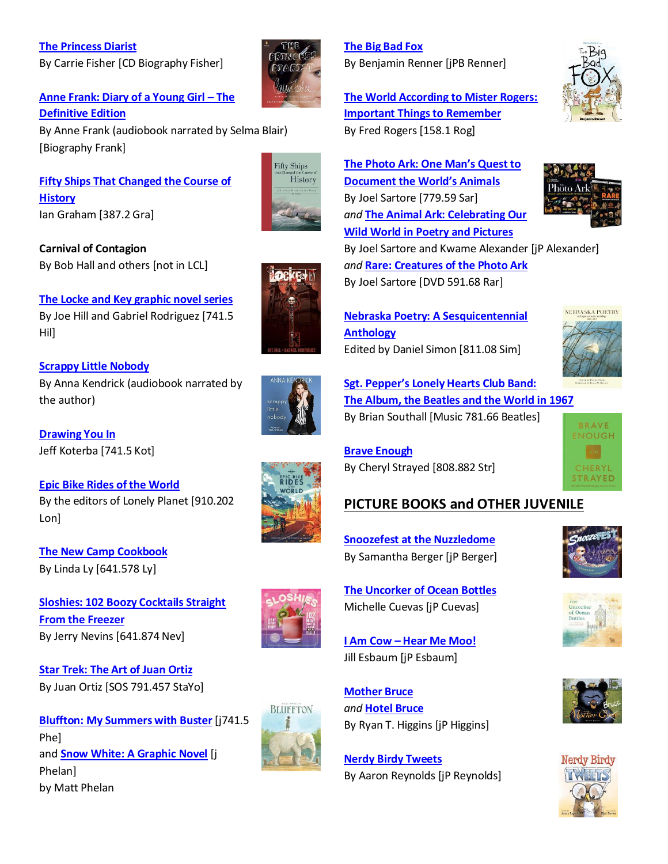**[The Princess Diarist](https://lcl.ent.sirsi.net/client/en_US/default/search/results?qu=princess+diarist+fisher&te=)** By Carrie Fisher [CD Biography Fisher]

#### **[Anne Frank: Diary of a Young Girl](https://lcl.ent.sirsi.net/client/en_US/default/search/results?qu=diary+young+girl+definitive+edition+blair&te=) – The [Definitive Edition](https://lcl.ent.sirsi.net/client/en_US/default/search/results?qu=diary+young+girl+definitive+edition+blair&te=)**

By Anne Frank (audiobook narrated by Selma Blair) [Biography Frank]

**[Fifty Ships That Changed the Course of](https://lcl.ent.sirsi.net/client/en_US/default/search/results?qu=fifty+ships+ian+graham&te=)  [History](https://lcl.ent.sirsi.net/client/en_US/default/search/results?qu=fifty+ships+ian+graham&te=)** Ian Graham [387.2 Gra]

**Carnival of Contagion** By Bob Hall and others [not in LCL]

**[The Locke and Key graphic novel series](https://lcl.ent.sirsi.net/client/en_US/default/search/results?qu=locke+key+hill+rodriguez&te=)** By Joe Hill and Gabriel Rodriguez [741.5 Hil]

**[Scrappy Little Nobody](https://lcl.ent.sirsi.net/client/en_US/default/search/results?qu=scrappy+little+nobody+kendrick&te=)** By Anna Kendrick (audiobook narrated by the author)

**[Drawing You In](https://lcl.ent.sirsi.net/client/en_US/default/search/results?qu=drawing+you+in+koterba&te=)** Jeff Koterba [741.5 Kot]

**[Epic Bike Rides of the World](https://lcl.ent.sirsi.net/client/en_US/default/search/results?qu=epic+bike+rides+world+lonely+planet&te=)** By the editors of Lonely Planet [910.202 Lon]

**[The New Camp Cookbook](https://lcl.ent.sirsi.net/client/en_US/default/search/results?qu=new+camp+cookbook+ly&te=)** By Linda Ly [641.578 Ly]

**[Sloshies: 102 Boozy Cocktails Straight](https://lcl.ent.sirsi.net/client/en_US/default/search/results?qu=sloshies+jerry+nevins&te=)  [From the Freezer](https://lcl.ent.sirsi.net/client/en_US/default/search/results?qu=sloshies+jerry+nevins&te=)** By Jerry Nevins [641.874 Nev]

**[Star Trek: The Art of Juan Ortiz](https://lcl.ent.sirsi.net/client/en_US/default/search/results?qu=star+trek+art+ortiz&te=)** By Juan Ortiz [SOS 791.457 StaYo]

**[Bluffton: My Summers with Buster](https://lcl.ent.sirsi.net/client/en_US/default/search/results?qu=bluffton+summers+buster+phelan&te=)** [j741.5 Phe] and **[Snow White: A Graphic Novel](https://lcl.ent.sirsi.net/client/en_US/default/search/results?qu=snow+white+graphic+novel+phelan&te=)** [j Phelan] by Matt Phelan



**Fifty Ships** History

## **[The Big Bad Fox](https://lcl.ent.sirsi.net/client/en_US/default/search/results?qu=big+bad+fox+renner&te=)** By Benjamin Renner [jPB Renner]

**[The World According to Mister Rogers:](https://lcl.ent.sirsi.net/client/en_US/default/search/results?qu=world+according+mister+fred+rogers&te=)  [Important Things to Remember](https://lcl.ent.sirsi.net/client/en_US/default/search/results?qu=world+according+mister+fred+rogers&te=)** By Fred Rogers [158.1 Rog]







**[Nebraska Poetry: A Sesquicentennial](https://lcl.ent.sirsi.net/client/en_US/default/search/results?qu=nebraska+poetry+sesquicentennial+simon&te=)  [Anthology](https://lcl.ent.sirsi.net/client/en_US/default/search/results?qu=nebraska+poetry+sesquicentennial+simon&te=)** Edited by Daniel Simon [811.08 Sim]





**Sgt. Pepper's [Lonely Hearts Club Band:](https://lcl.ent.sirsi.net/client/en_US/default/search/results?qu=lonely+hearts+club+band+southall&te=)  [The Album, the Beatles and the World in 1967](https://lcl.ent.sirsi.net/client/en_US/default/search/results?qu=lonely+hearts+club+band+southall&te=)** By Brian Southall [Music 781.66 Beatles]

**[Brave Enough](https://lcl.ent.sirsi.net/client/en_US/default/search/results?qu=brave+enough+strayed&te=)** By Cheryl Strayed [808.882 Str]





**BLUFFTON** 

# **PICTURE BOOKS and OTHER JUVENILE**

**Snoozefest [at the Nuzzledome](https://lcl.ent.sirsi.net/client/en_US/default/search/results?qu=snoozefest+berger&te=)** By Samantha Berger [jP Berger]

**[The Uncorker of Ocean Bottles](https://lcl.ent.sirsi.net/client/en_US/default/search/results?qu=uncorker+ocean+bottles+cuevas&te=)** Michelle Cuevas [jP Cuevas]

**I Am Cow – [Hear Me Moo!](https://lcl.ent.sirsi.net/client/en_US/default/search/results?qu=i+am+cow+hear+me+moo+esbaum&te=)** Jill Esbaum [jP Esbaum]

**[Mother Bruce](https://lcl.ent.sirsi.net/client/en_US/default/search/results?qu=mother+bruce+higgins&te=)** *and* **[Hotel Bruce](https://lcl.ent.sirsi.net/client/en_US/default/search/results?qu=hotel+bruce+higgins&te=)** By Ryan T. Higgins [jP Higgins]

**[Nerdy Birdy Tweets](https://lcl.ent.sirsi.net/client/en_US/default/search/results?qu=nerdy+birdy+tweets+reynolds&te=)** By Aaron Reynolds [jP Reynolds]